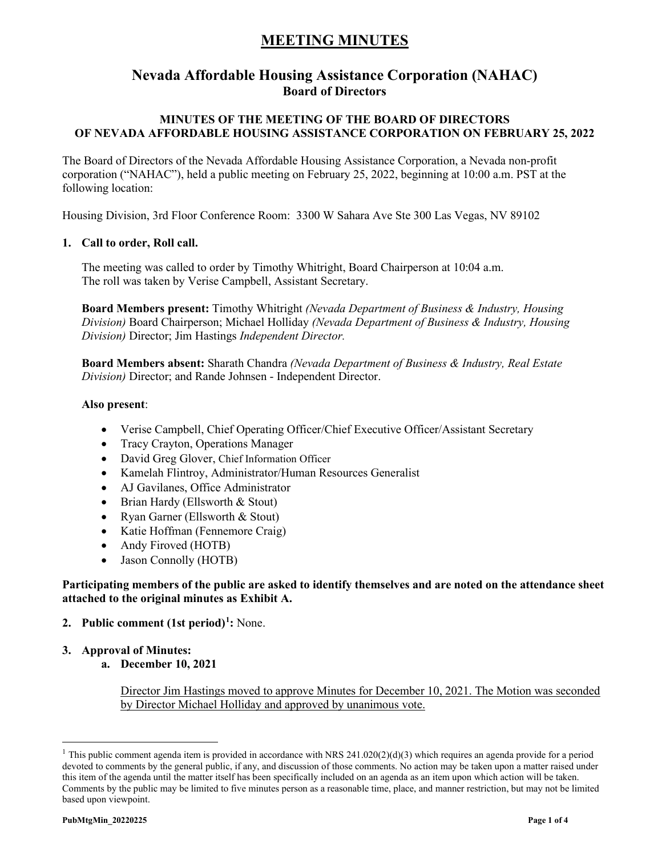# **Nevada Affordable Housing Assistance Corporation (NAHAC) Board of Directors**

## **MINUTES OF THE MEETING OF THE BOARD OF DIRECTORS OF NEVADA AFFORDABLE HOUSING ASSISTANCE CORPORATION ON FEBRUARY 25, 2022**

The Board of Directors of the Nevada Affordable Housing Assistance Corporation, a Nevada non-profit corporation ("NAHAC"), held a public meeting on February 25, 2022, beginning at 10:00 a.m. PST at the following location:

Housing Division, 3rd Floor Conference Room: 3300 W Sahara Ave Ste 300 Las Vegas, NV 89102

### **1. Call to order, Roll call.**

The meeting was called to order by Timothy Whitright, Board Chairperson at 10:04 a.m. The roll was taken by Verise Campbell, Assistant Secretary.

**Board Members present:** Timothy Whitright *(Nevada Department of Business & Industry, Housing Division)* Board Chairperson; Michael Holliday *(Nevada Department of Business & Industry, Housing Division)* Director; Jim Hastings *Independent Director.*

**Board Members absent:** Sharath Chandra *(Nevada Department of Business & Industry, Real Estate Division)* Director; and Rande Johnsen - Independent Director.

#### **Also present**:

- Verise Campbell, Chief Operating Officer/Chief Executive Officer/Assistant Secretary
- Tracy Crayton, Operations Manager
- David Greg Glover, Chief Information Officer
- Kamelah Flintroy, Administrator/Human Resources Generalist
- AJ Gavilanes, Office Administrator
- Brian Hardy (Ellsworth & Stout)
- Ryan Garner (Ellsworth & Stout)
- Katie Hoffman (Fennemore Craig)
- Andy Firoved (HOTB)
- Jason Connolly (HOTB)

#### **Participating members of the public are asked to identify themselves and are noted on the attendance sheet attached to the original minutes as Exhibit A.**

- **2. Public comment (1st period)[1](#page-0-0) :** None.
- **3. Approval of Minutes:** 
	- **a. December 10, 2021**

Director Jim Hastings moved to approve Minutes for December 10, 2021. The Motion was seconded by Director Michael Holliday and approved by unanimous vote.

<span id="page-0-0"></span><sup>&</sup>lt;sup>1</sup> This public comment agenda item is provided in accordance with NRS 241.020(2)(d)(3) which requires an agenda provide for a period devoted to comments by the general public, if any, and discussion of those comments. No action may be taken upon a matter raised under this item of the agenda until the matter itself has been specifically included on an agenda as an item upon which action will be taken. Comments by the public may be limited to five minutes person as a reasonable time, place, and manner restriction, but may not be limited based upon viewpoint.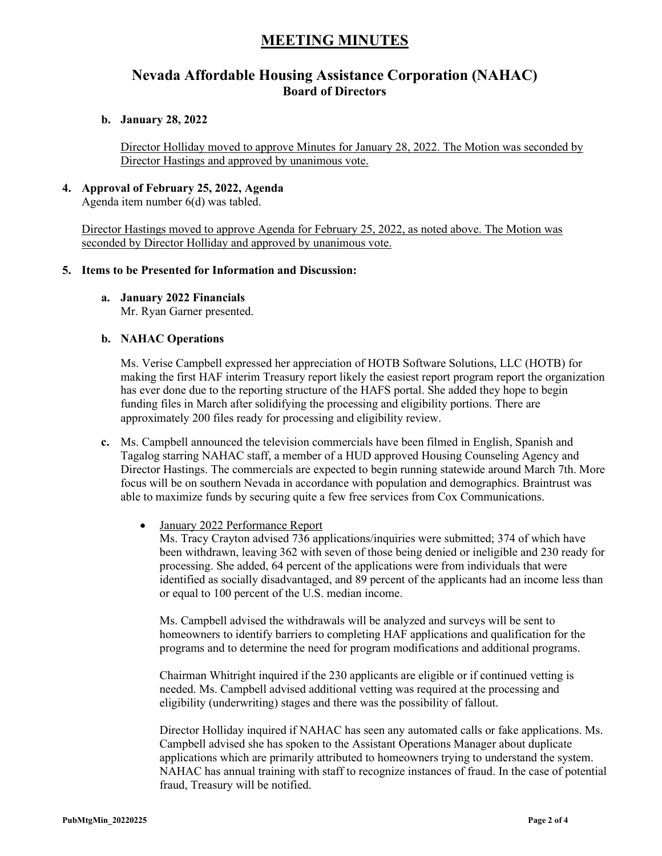# **Nevada Affordable Housing Assistance Corporation (NAHAC) Board of Directors**

#### **b. January 28, 2022**

Director Holliday moved to approve Minutes for January 28, 2022. The Motion was seconded by Director Hastings and approved by unanimous vote.

# **4. Approval of February 25, 2022, Agenda**

Agenda item number 6(d) was tabled.

Director Hastings moved to approve Agenda for February 25, 2022, as noted above. The Motion was seconded by Director Holliday and approved by unanimous vote.

#### **5. Items to be Presented for Information and Discussion:**

**a. January 2022 Financials** 

Mr. Ryan Garner presented.

### **b. NAHAC Operations**

Ms. Verise Campbell expressed her appreciation of HOTB Software Solutions, LLC (HOTB) for making the first HAF interim Treasury report likely the easiest report program report the organization has ever done due to the reporting structure of the HAFS portal. She added they hope to begin funding files in March after solidifying the processing and eligibility portions. There are approximately 200 files ready for processing and eligibility review.

**c.** Ms. Campbell announced the television commercials have been filmed in English, Spanish and Tagalog starring NAHAC staff, a member of a HUD approved Housing Counseling Agency and Director Hastings. The commercials are expected to begin running statewide around March 7th. More focus will be on southern Nevada in accordance with population and demographics. Braintrust was able to maximize funds by securing quite a few free services from Cox Communications.

### • January 2022 Performance Report

Ms. Tracy Crayton advised 736 applications/inquiries were submitted; 374 of which have been withdrawn, leaving 362 with seven of those being denied or ineligible and 230 ready for processing. She added, 64 percent of the applications were from individuals that were identified as socially disadvantaged, and 89 percent of the applicants had an income less than or equal to 100 percent of the U.S. median income.

Ms. Campbell advised the withdrawals will be analyzed and surveys will be sent to homeowners to identify barriers to completing HAF applications and qualification for the programs and to determine the need for program modifications and additional programs.

Chairman Whitright inquired if the 230 applicants are eligible or if continued vetting is needed. Ms. Campbell advised additional vetting was required at the processing and eligibility (underwriting) stages and there was the possibility of fallout.

Director Holliday inquired if NAHAC has seen any automated calls or fake applications. Ms. Campbell advised she has spoken to the Assistant Operations Manager about duplicate applications which are primarily attributed to homeowners trying to understand the system. NAHAC has annual training with staff to recognize instances of fraud. In the case of potential fraud, Treasury will be notified.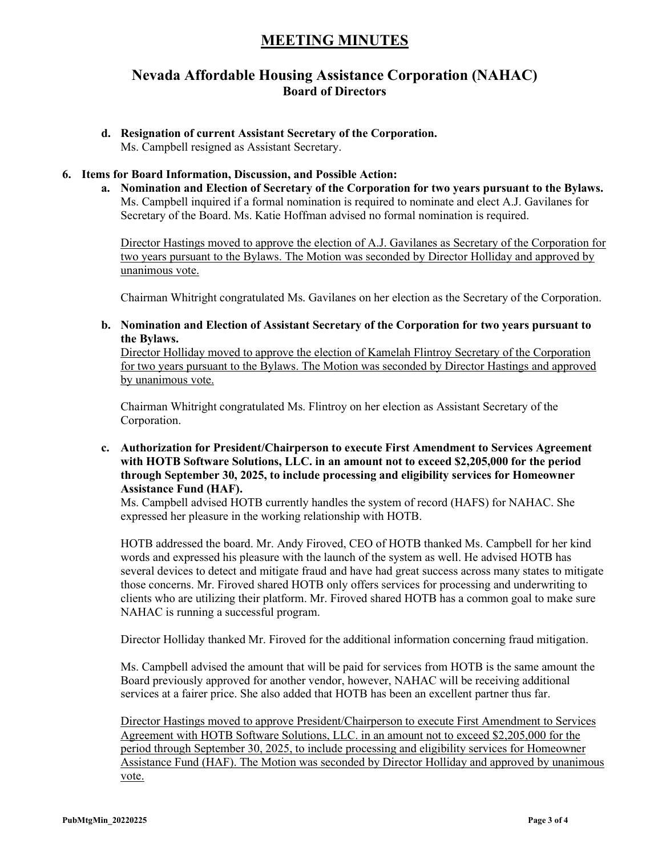## **Nevada Affordable Housing Assistance Corporation (NAHAC) Board of Directors**

**d. Resignation of current Assistant Secretary of the Corporation.** Ms. Campbell resigned as Assistant Secretary.

#### **6. Items for Board Information, Discussion, and Possible Action:**

**a. Nomination and Election of Secretary of the Corporation for two years pursuant to the Bylaws.** Ms. Campbell inquired if a formal nomination is required to nominate and elect A.J. Gavilanes for Secretary of the Board. Ms. Katie Hoffman advised no formal nomination is required.

Director Hastings moved to approve the election of A.J. Gavilanes as Secretary of the Corporation for two years pursuant to the Bylaws. The Motion was seconded by Director Holliday and approved by unanimous vote.

Chairman Whitright congratulated Ms. Gavilanes on her election as the Secretary of the Corporation.

**b. Nomination and Election of Assistant Secretary of the Corporation for two years pursuant to the Bylaws.** 

Director Holliday moved to approve the election of Kamelah Flintroy Secretary of the Corporation for two years pursuant to the Bylaws. The Motion was seconded by Director Hastings and approved by unanimous vote.

Chairman Whitright congratulated Ms. Flintroy on her election as Assistant Secretary of the Corporation.

**c. Authorization for President/Chairperson to execute First Amendment to Services Agreement with HOTB Software Solutions, LLC. in an amount not to exceed \$2,205,000 for the period through September 30, 2025, to include processing and eligibility services for Homeowner Assistance Fund (HAF).**

Ms. Campbell advised HOTB currently handles the system of record (HAFS) for NAHAC. She expressed her pleasure in the working relationship with HOTB.

HOTB addressed the board. Mr. Andy Firoved, CEO of HOTB thanked Ms. Campbell for her kind words and expressed his pleasure with the launch of the system as well. He advised HOTB has several devices to detect and mitigate fraud and have had great success across many states to mitigate those concerns. Mr. Firoved shared HOTB only offers services for processing and underwriting to clients who are utilizing their platform. Mr. Firoved shared HOTB has a common goal to make sure NAHAC is running a successful program.

Director Holliday thanked Mr. Firoved for the additional information concerning fraud mitigation.

Ms. Campbell advised the amount that will be paid for services from HOTB is the same amount the Board previously approved for another vendor, however, NAHAC will be receiving additional services at a fairer price. She also added that HOTB has been an excellent partner thus far.

Director Hastings moved to approve President/Chairperson to execute First Amendment to Services Agreement with HOTB Software Solutions, LLC. in an amount not to exceed \$2,205,000 for the period through September 30, 2025, to include processing and eligibility services for Homeowner Assistance Fund (HAF). The Motion was seconded by Director Holliday and approved by unanimous vote.